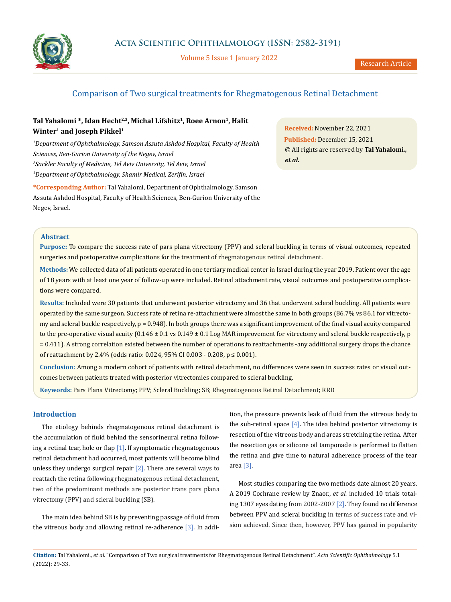

Volume 5 Issue 1 January 2022

# Comparison of Two surgical treatments for Rhegmatogenous Retinal Detachment

# Tal Yahalomi \*, Idan Hecht<sup>2,3</sup>, Michal Lifshitz<sup>1</sup>, Roee Arnon<sup>1</sup>, Halit **Winter1 and Joseph Pikkel1**

 *Department of Ophthalmology, Samson Assuta Ashdod Hospital, Faculty of Health Sciences, Ben-Gurion University of the Negev, Israel Sackler Faculty of Medicine, Tel Aviv University, Tel Aviv, Israel Department of Ophthalmology, Shamir Medical, Zerifin, Israel*

**\*Corresponding Author:** Tal Yahalomi, Department of Ophthalmology, Samson Assuta Ashdod Hospital, Faculty of Health Sciences, Ben-Gurion University of the Negev, Israel.

**Received:** November 22, 2021 **Published:** December 15, 2021 © All rights are reserved by **Tal Yahalomi***., et al.*

### **Abstract**

**Purpose:** To compare the success rate of pars plana vitrectomy (PPV) and scleral buckling in terms of visual outcomes, repeated surgeries and postoperative complications for the treatment of rhegmatogenous retinal detachment.

**Methods:** We collected data of all patients operated in one tertiary medical center in Israel during the year 2019. Patient over the age of 18 years with at least one year of follow-up were included. Retinal attachment rate, visual outcomes and postoperative complications were compared.

**Results:** Included were 30 patients that underwent posterior vitrectomy and 36 that underwent scleral buckling. All patients were operated by the same surgeon. Success rate of retina re-attachment were almost the same in both groups (86.7% vs 86.1 for vitrectomy and scleral buckle respectively, p = 0.948). In both groups there was a significant improvement of the final visual acuity compared to the pre-operative visual acuity  $(0.146 \pm 0.1 \text{ vs } 0.149 \pm 0.1 \text{ Log } \text{MAR }$  improvement for vitrectomy and scleral buckle respectively, p = 0.411). A strong correlation existed between the number of operations to reattachments -any additional surgery drops the chance of reattachment by 2.4% (odds ratio: 0.024, 95% CI 0.003 - 0.208, p ≤ 0.001).

**Conclusion:** Among a modern cohort of patients with retinal detachment, no differences were seen in success rates or visual outcomes between patients treated with posterior vitrectomies compared to scleral buckling.

**Keywords:** Pars Plana Vitrectomy; PPV; Scleral Buckling; SB; Rhegmatogenous Retinal Detachment; RRD

## **Introduction**

The etiology behinds rhegmatogenous retinal detachment is the accumulation of fluid behind the sensorineural retina following a retinal tear, hole or flap  $[1]$ . If symptomatic rhegmatogenous retinal detachment had occurred, most patients will become blind unless they undergo surgical repair  $[2]$ . There are several ways to reattach the retina following rhegmatogenous retinal detachment, two of the predominant methods are posterior trans pars plana vitrectomy (PPV) and scleral buckling (SB).

The main idea behind SB is by preventing passage of fluid from the vitreous body and allowing retinal re-adherence [3]. In addition, the pressure prevents leak of fluid from the vitreous body to the sub-retinal space  $[4]$ . The idea behind posterior vitrectomy is resection of the vitreous body and areas stretching the retina. After the resection gas or silicone oil tamponade is performed to flatten the retina and give time to natural adherence process of the tear area [3].

Most studies comparing the two methods date almost 20 years. A 2019 Cochrane review by Znaor., *et al.* included 10 trials totaling 1307 eyes dating from 2002-2007 [2]. They found no difference between PPV and scleral buckling in terms of success rate and vision achieved. Since then, however, PPV has gained in popularity

**Citation:** Tal Yahalomi*., et al.* "Comparison of Two surgical treatments for Rhegmatogenous Retinal Detachment". *Acta Scientific Ophthalmology* 5.1 (2022): 29-33.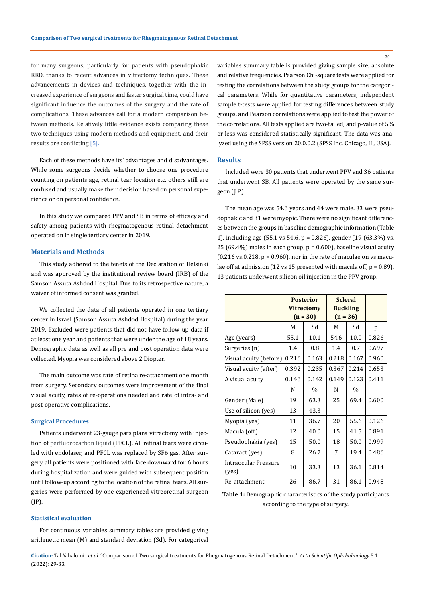for many surgeons, particularly for patients with pseudophakic RRD, thanks to recent advances in vitrectomy techniques. These advancements in devices and techniques, together with the increased experience of surgeons and faster surgical time, could have significant influence the outcomes of the surgery and the rate of complications. These advances call for a modern comparison between methods. Relatively little evidence exists comparing these two techniques using modern methods and equipment, and their results are conflicting [5].

Each of these methods have its' advantages and disadvantages. While some surgeons decide whether to choose one procedure counting on patients age, retinal tear location etc. others still are confused and usually make their decision based on personal experience or on personal confidence.

In this study we compared PPV and SB in terms of efficacy and safety among patients with rhegmatogenous retinal detachment operated on in single tertiary center in 2019.

### **Materials and Methods**

This study adhered to the tenets of the Declaration of Helsinki and was approved by the institutional review board (IRB) of the Samson Assuta Ashdod Hospital. Due to its retrospective nature, a waiver of informed consent was granted.

We collected the data of all patients operated in one tertiary center in Israel (Samson Assuta Ashdod Hospital) during the year 2019. Excluded were patients that did not have follow up data if at least one year and patients that were under the age of 18 years. Demographic data as well as all pre and post operation data were collected. Myopia was considered above 2 Diopter.

The main outcome was rate of retina re-attachment one month from surgery. Secondary outcomes were improvement of the final visual acuity, rates of re-operations needed and rate of intra- and post-operative complications.

### **Surgical Procedures**

Patients underwent 23-gauge pars plana vitrectomy with injection of perfluorocarbon liquid (PFCL). All retinal tears were circuled with endolaser, and PFCL was replaced by SF6 gas. After surgery all patients were positioned with face downward for 6 hours during hospitalization and were guided with subsequent position until follow-up according to the location of the retinal tears. All surgeries were performed by one experienced vitreoretinal surgeon (JP).

### **Statistical evaluation**

For continuous variables summary tables are provided giving arithmetic mean (M) and standard deviation (Sd). For categorical variables summary table is provided giving sample size, absolute and relative frequencies. Pearson Chi-square tests were applied for testing the correlations between the study groups for the categorical parameters. While for quantitative parameters, independent sample t-tests were applied for testing differences between study groups, and Pearson correlations were applied to test the power of the correlations. All tests applied are two-tailed, and p-value of 5% or less was considered statistically significant. The data was analyzed using the SPSS version 20.0.0.2 (SPSS Inc. Chicago, IL, USA).

#### **Results**

Included were 30 patients that underwent PPV and 36 patients that underwent SB. All patients were operated by the same surgeon (J.P.).

The mean age was 54.6 years and 44 were male. 33 were pseudophakic and 31 were myopic. There were no significant differences between the groups in baseline demographic information (Table 1), including age (55.1 vs 54.6, p = 0.826), gender (19 (63.3%) vs. 25 (69.4%) males in each group,  $p = 0.600$ ), baseline visual acuity  $(0.216 \text{ vs. } 0.218, p = 0.960)$ , nor in the rate of maculae on vs maculae off at admission (12 vs 15 presented with macula off,  $p = 0.89$ ), 13 patients underwent silicon oil injection in the PPV group.

|                               | <b>Posterior</b><br><b>Vitrectomy</b><br>$(n = 30)$ |       | <b>Scleral</b><br><b>Buckling</b><br>$(n = 36)$ |               |       |
|-------------------------------|-----------------------------------------------------|-------|-------------------------------------------------|---------------|-------|
|                               | M                                                   | Sd    | М                                               | Sd            | p     |
| Age (years)                   | 55.1                                                | 10.1  | 54.6                                            | 10.0          | 0.826 |
| Surgeries (n)                 | 1.4                                                 | 0.8   | 1.4                                             | 0.7           | 0.697 |
| Visual acuity (before)        | 0.216                                               | 0.163 | 0.218                                           | 0.167         | 0.960 |
| Visual acuity (after)         | 0.392                                               | 0.235 | 0.367                                           | 0.214         | 0.653 |
| $\Delta$ visual acuity        | 0.146                                               | 0.142 | 0.149                                           | 0.123         | 0.411 |
|                               | N                                                   | $\%$  | N                                               | $\frac{0}{0}$ |       |
| Gender (Male)                 | 19                                                  | 63.3  | 25                                              | 69.4          | 0.600 |
| Use of silicon (yes)          | 13                                                  | 43.3  |                                                 |               |       |
| Myopia (yes)                  | 11                                                  | 36.7  | 20                                              | 55.6          | 0.126 |
| Macula (off)                  | 12                                                  | 40.0  | 15                                              | 41.5          | 0.891 |
| Pseudophakia (yes)            | 15                                                  | 50.0  | 18                                              | 50.0          | 0.999 |
| Cataract (yes)                | 8                                                   | 26.7  | 7                                               | 19.4          | 0.486 |
| Intraocular Pressure<br>(yes) | 10                                                  | 33.3  | 13                                              | 36.1          | 0.814 |
| Re-attachment                 | 26                                                  | 86.7  | 31                                              | 86.1          | 0.948 |

**Table 1:** Demographic characteristics of the study participants according to the type of surgery.

**Citation:** Tal Yahalomi*., et al.* "Comparison of Two surgical treatments for Rhegmatogenous Retinal Detachment". *Acta Scientific Ophthalmology* 5.1 (2022): 29-33.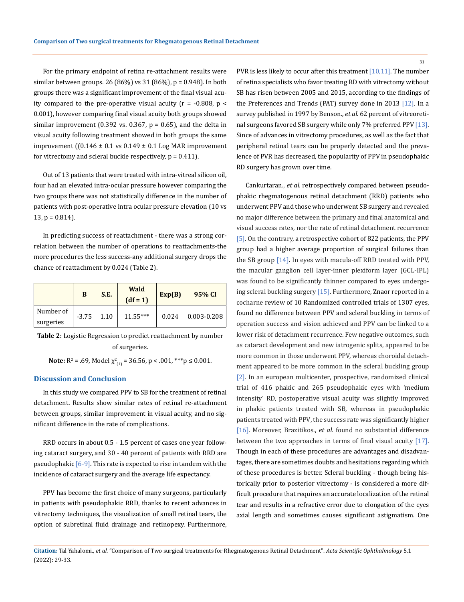For the primary endpoint of retina re-attachment results were similar between groups. 26 (86%) vs 31 (86%), p = 0.948). In both groups there was a significant improvement of the final visual acuity compared to the pre-operative visual acuity ( $r = -0.808$ ,  $p <$ 0.001), however comparing final visual acuity both groups showed similar improvement (0.392 vs. 0.367,  $p = 0.65$ ), and the delta in visual acuity following treatment showed in both groups the same improvement  $((0.146 \pm 0.1 \text{ vs } 0.149 \pm 0.1 \text{ Log } \text{MAR } \text{improvement})$ for vitrectomy and scleral buckle respectively,  $p = 0.411$ .

Out of 13 patients that were treated with intra-vitreal silicon oil, four had an elevated intra-ocular pressure however comparing the two groups there was not statistically difference in the number of patients with post-operative intra ocular pressure elevation (10 vs  $13, p = 0.814$ .

In predicting success of reattachment - there was a strong correlation between the number of operations to reattachments-the more procedures the less success-any additional surgery drops the chance of reattachment by 0.024 (Table 2).

|                        | B       | S.E. | Wald<br>$(df = 1)$ | Exp(B) | 95% CI          |
|------------------------|---------|------|--------------------|--------|-----------------|
| Number of<br>surgeries | $-3.75$ | 1.10 | $11.55***$         | 0.024  | $0.003 - 0.208$ |

**Table 2:** Logistic Regression to predict reattachment by number of surgeries.

**Note:**  $R^2$  = .69, Model  $\chi^2_{(1)}$  = 36.56, p < .001, \*\*\*p  $\leq$  0.001.

### **Discussion and Conclusion**

In this study we compared PPV to SB for the treatment of retinal detachment. Results show similar rates of retinal re-attachment between groups, similar improvement in visual acuity, and no significant difference in the rate of complications.

RRD occurs in about 0.5 - 1.5 percent of cases one year following cataract surgery, and 30 - 40 percent of patients with RRD are pseudophakic  $[6-9]$ . This rate is expected to rise in tandem with the incidence of cataract surgery and the average life expectancy.

PPV has become the first choice of many surgeons, particularly in patients with pseudophakic RRD, thanks to recent advances in vitrectomy techniques, the visualization of small retinal tears, the option of subretinal fluid drainage and retinopexy. Furthermore, PVR is less likely to occur after this treatment [10,11]. The number of retina specialists who favor treating RD with vitrectomy without SB has risen between 2005 and 2015, according to the findings of the Preferences and Trends (PAT) survey done in 2013 [12]. In a survey published in 1997 by Benson., *et al.* 62 percent of vitreoretinal surgeons favored SB surgery while only 7% preferred PPV [13]. Since of advances in vitrectomy procedures, as well as the fact that peripheral retinal tears can be properly detected and the prevalence of PVR has decreased, the popularity of PPV in pseudophakic RD surgery has grown over time.

[Cankurtaran.](https://pubmed.ncbi.nlm.nih.gov/?sort=date&size=20&term=Cankurtaran+V&cauthor_id=28135566), *et al.* retrospectively compared between pseudophakic rhegmatogenous retinal detachment (RRD) patients who underwent PPV and those who underwent SB surgery and revealed no major difference between the primary and final anatomical and visual success rates, nor the rate of retinal detachment recurrence [5]. On the contrary, a retrospective cohort of 822 patients, the PPV group had a higher average proportion of surgical failures than the SB group [14]. In eyes with macula-off RRD treated with PPV, the macular ganglion cell layer-inner plexiform layer (GCL-IPL) was found to be significantly thinner compared to eyes undergoing scleral buckling surgery [15]. Furthermore, Znaor reported in a cocharne review of 10 Randomized controlled trials of 1307 eyes, found no difference between PPV and scleral buckling in terms of operation success and vision achieved and PPV can be linked to a lower risk of detachment recurrence. Few negative outcomes, such as cataract development and new iatrogenic splits, appeared to be more common in those underwent PPV, whereas choroidal detachment appeared to be more common in the scleral buckling group [2]. In an european multicenter, prospective, randomized clinical trial of 416 phakic and 265 pseudophakic eyes with 'medium intensity' RD, postoperative visual acuity was slightly improved in phakic patients treated with SB, whereas in pseudophakic patients treated with PPV, the success rate was significantly higher [16]. Moreover, Brazitikos., *et al*. found no substantial difference between the two approaches in terms of final visual acuity [17]. Though in each of these procedures are advantages and disadvantages, there are sometimes doubts and hesitations regarding which of these procedures is better. Scleral buckling - though being historically prior to posterior vitrectomy - is considered a more difficult procedure that requires an accurate localization of the retinal tear and results in a refractive error due to elongation of the eyes axial length and sometimes causes significant astigmatism. One

31

**Citation:** Tal Yahalomi*., et al.* "Comparison of Two surgical treatments for Rhegmatogenous Retinal Detachment". *Acta Scientific Ophthalmology* 5.1 (2022): 29-33.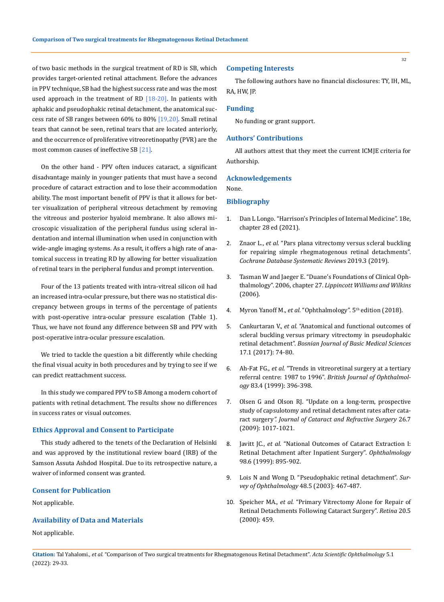of two basic methods in the surgical treatment of RD is SB, which provides target-oriented retinal attachment. Before the advances in PPV technique, SB had the highest success rate and was the most used approach in the treatment of RD  $[18-20]$ . In patients with aphakic and pseudophakic retinal detachment, the anatomical success rate of SB ranges between 60% to 80% [19,20]. Small retinal tears that cannot be seen, retinal tears that are located anteriorly, and the occurrence of proliferative vitreoretinopathy (PVR) are the most common causes of ineffective SB [21].

On the other hand - PPV often induces cataract, a significant disadvantage mainly in younger patients that must have a second procedure of cataract extraction and to lose their accommodation ability. The most important benefit of PPV is that it allows for better visualization of peripheral vitreous detachment by removing the vitreous and posterior hyaloid membrane. It also allows microscopic visualization of the peripheral fundus using scleral indentation and internal illumination when used in conjunction with wide-angle imaging systems. As a result, it offers a high rate of anatomical success in treating RD by allowing for better visualization of retinal tears in the peripheral fundus and prompt intervention.

Four of the 13 patients treated with intra-vitreal silicon oil had an increased intra-ocular pressure, but there was no statistical discrepancy between groups in terms of the percentage of patients with post-operative intra-ocular pressure escalation (Table 1). Thus, we have not found any difference between SB and PPV with post-operative intra-ocular pressure escalation.

We tried to tackle the question a bit differently while checking the final visual acuity in both procedures and by trying to see if we can predict reattachment success.

In this study we compared PPV to SB Among a modern cohort of patients with retinal detachment. The results show no differences in success rates or visual outcomes.

### **Ethics Approval and Consent to Participate**

This study adhered to the tenets of the Declaration of Helsinki and was approved by the institutional review board (IRB) of the Samson Assuta Ashdod Hospital. Due to its retrospective nature, a waiver of informed consent was granted.

### **Consent for Publication**

Not applicable.

#### **Availability of Data and Materials**

Not applicable.

### **Competing Interests**

The following authors have no financial disclosures: TY, IH, ML, RA, HW, JP.

#### **Funding**

No funding or grant support.

### **Authors' Contributions**

All authors attest that they meet the current ICMJE criteria for Authorship.

### **Acknowledgements**

None.

### **Bibliography**

- 1. [Dan L Longo. "Harrison's Principles of Internal Medicine". 18e,](https://accessmedicine.mhmedical.com/content.aspx?bookid=2129§ionid=191734545)  [chapter 28 ed \(2021\).](https://accessmedicine.mhmedical.com/content.aspx?bookid=2129§ionid=191734545)
- 2. Znaor L., *et al.* ["Pars plana vitrectomy versus scleral buckling](https://pubmed.ncbi.nlm.nih.gov/30848830/)  [for repairing simple rhegmatogenous retinal detachments".](https://pubmed.ncbi.nlm.nih.gov/30848830/)  *[Cochrane Database Systematic Reviews](https://pubmed.ncbi.nlm.nih.gov/30848830/)* 2019.3 (2019).
- 3. [Tasman W and Jaeger E. "Duane's Foundations of Clinical Oph](https://www.worldcat.org/title/duanes-ophthalmology/oclc/701565989)thalmology". 2006, chapter 27. *[Lippincott Williams and Wilkins](https://www.worldcat.org/title/duanes-ophthalmology/oclc/701565989)* [\(2006\).](https://www.worldcat.org/title/duanes-ophthalmology/oclc/701565989)
- 4. Myron Yanoff M., et al. "Ophthalmology". 5<sup>th</sup> edition (2018).
- 5. Cankurtaran V., *et al.* ["Anatomical and functional outcomes of](https://pubmed.ncbi.nlm.nih.gov/28135566/)  [scleral buckling versus primary vitrectomy in pseudophakic](https://pubmed.ncbi.nlm.nih.gov/28135566/)  retinal detachment". *[Bosnian Journal of Basic Medical Sciences](https://pubmed.ncbi.nlm.nih.gov/28135566/)* [17.1 \(2017\): 74-80.](https://pubmed.ncbi.nlm.nih.gov/28135566/)
- 6. Ah-Fat FG., *et al.* ["Trends in vitreoretinal surgery at a tertiary](https://bjo.bmj.com/content/83/4/396)  referral centre: 1987 to 1996". *[British Journal of Ophthalmol](https://bjo.bmj.com/content/83/4/396)ogy* [83.4 \(1999\): 396-398.](https://bjo.bmj.com/content/83/4/396)
- 7. [Olsen G and Olson RJ. "Update on a long-term, prospective](https://pubmed.ncbi.nlm.nih.gov/10946193/)  [study of capsulotomy and retinal detachment rates after cata](https://pubmed.ncbi.nlm.nih.gov/10946193/)ract surgery*[". Journal of Cataract and Refractive Surgery](https://pubmed.ncbi.nlm.nih.gov/10946193/)* 26.7 [\(2009\): 1017-1021.](https://pubmed.ncbi.nlm.nih.gov/10946193/)
- 8. Javitt JC., *et al.* ["National Outcomes of Cataract Extraction I:](https://www.sciencedirect.com/science/article/abs/pii/S0161642091322048)  [Retinal Detachment after Inpatient Surgery".](https://www.sciencedirect.com/science/article/abs/pii/S0161642091322048) *Ophthalmology* [98.6 \(1999\): 895-902.](https://www.sciencedirect.com/science/article/abs/pii/S0161642091322048)
- 9. [Lois N and Wong D. "Pseudophakic retinal detachment".](https://pubmed.ncbi.nlm.nih.gov/14499816/) *Sur[vey of Ophthalmology](https://pubmed.ncbi.nlm.nih.gov/14499816/)* 48.5 (2003): 467-487.
- 10. Speicher MA., *et al.* ["Primary Vitrectomy Alone for Repair of](https://pubmed.ncbi.nlm.nih.gov/11039419/)  [Retinal Detachments Following Cataract Surgery".](https://pubmed.ncbi.nlm.nih.gov/11039419/) *Retina* 20.5 [\(2000\): 459.](https://pubmed.ncbi.nlm.nih.gov/11039419/)

**Citation:** Tal Yahalomi*., et al.* "Comparison of Two surgical treatments for Rhegmatogenous Retinal Detachment". *Acta Scientific Ophthalmology* 5.1 (2022): 29-33.